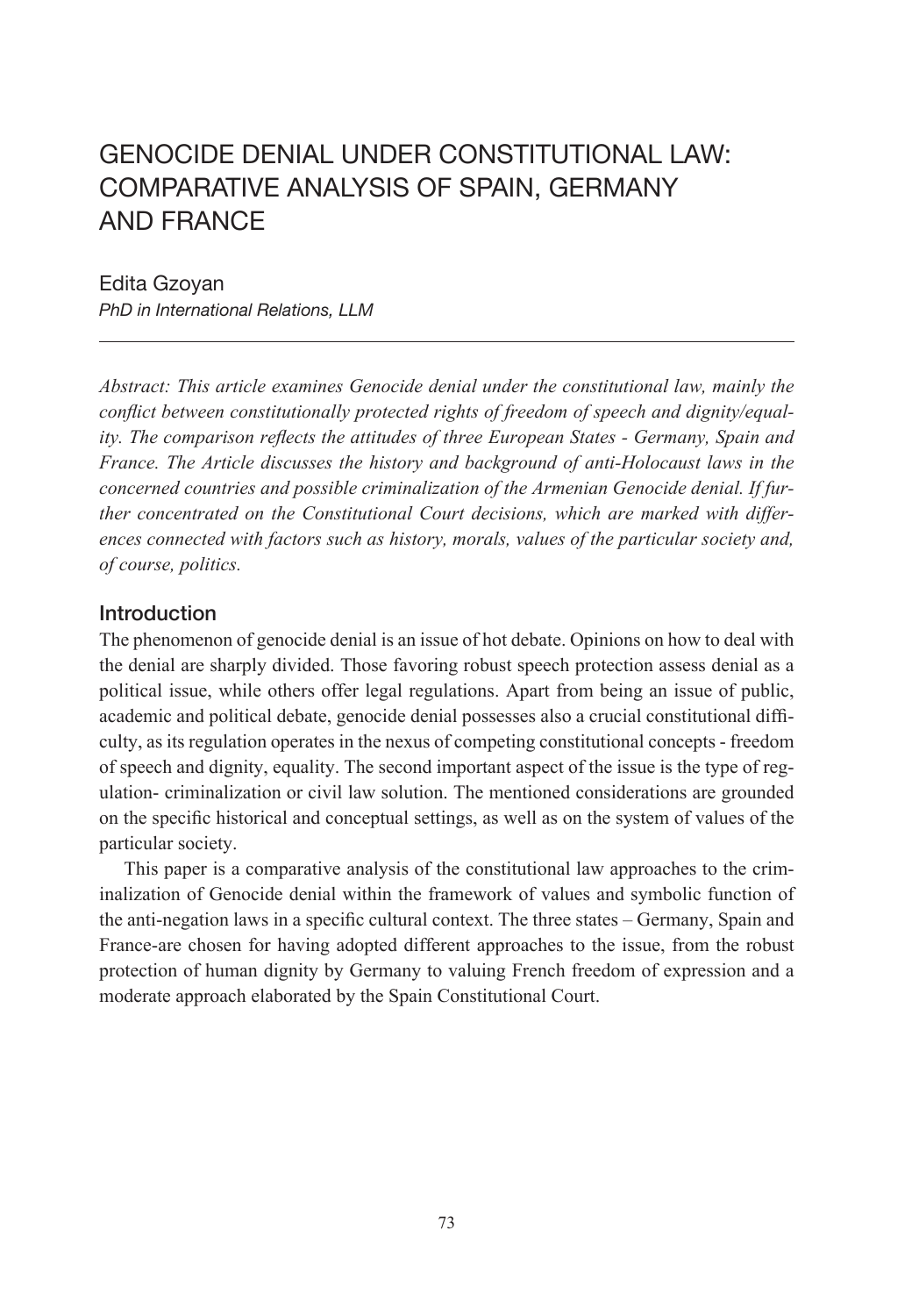#### Edita Gzoyan

*PhD in International Relations, LLM*

*Abstract: This article examines Genocide denial under the constitutional law, mainly the conflict between constitutionally protected rights of freedom of speech and dignity/equality. The comparison reflects the attitudes of three European States - Germany, Spain and France. The Article discusses the history and background of anti-Holocaust laws in the concerned countries and possible criminalization of the Armenian Genocide denial. If further concentrated on the Constitutional Court decisions, which are marked with differences connected with factors such as history, morals, values of the particular society and, of course, politics.* 

### Introduction

The phenomenon of genocide denial is an issue of hot debate. Opinions on how to deal with the denial are sharply divided. Those favoring robust speech protection assess denial as a political issue, while others offer legal regulations. Apart from being an issue of public, academic and political debate, genocide denial possesses also a crucial constitutional difficulty, as its regulation operates in the nexus of competing constitutional concepts - freedom of speech and dignity, equality. The second important aspect of the issue is the type of regulation- criminalization or civil law solution. The mentioned considerations are grounded on the specific historical and conceptual settings, as well as on the system of values of the particular society.

This paper is a comparative analysis of the constitutional law approaches to the criminalization of Genocide denial within the framework of values and symbolic function of the anti-negation laws in a specific cultural context. The three states – Germany, Spain and France-are chosen for having adopted different approaches to the issue, from the robust protection of human dignity by Germany to valuing French freedom of expression and a moderate approach elaborated by the Spain Constitutional Court.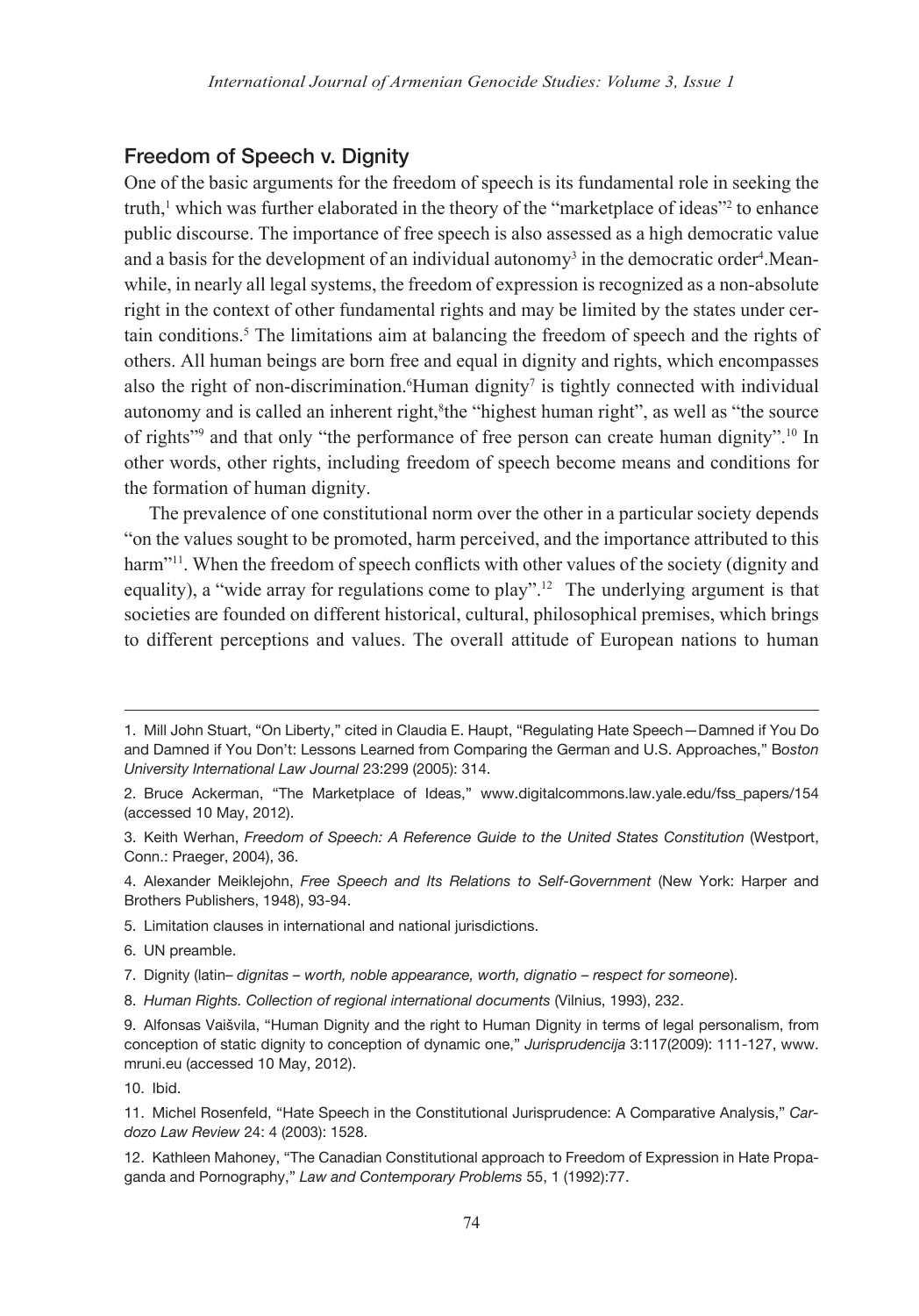## Freedom of Speech v. Dignity

One of the basic arguments for the freedom of speech is its fundamental role in seeking the truth,<sup>1</sup> which was further elaborated in the theory of the "marketplace of ideas"<sup>2</sup> to enhance public discourse. The importance of free speech is also assessed as a high democratic value and a basis for the development of an individual autonomy<sup>3</sup> in the democratic order<sup>4</sup>.Meanwhile, in nearly all legal systems, the freedom of expression is recognized as a non-absolute right in the context of other fundamental rights and may be limited by the states under certain conditions.5 The limitations aim at balancing the freedom of speech and the rights of others. All human beings are born free and equal in dignity and rights, which encompasses also the right of non-discrimination. Human dignity<sup>7</sup> is tightly connected with individual autonomy and is called an inherent right,<sup>8</sup>the "highest human right", as well as "the source of rights<sup>"9</sup> and that only "the performance of free person can create human dignity".<sup>10</sup> In other words, other rights, including freedom of speech become means and conditions for the formation of human dignity.

The prevalence of one constitutional norm over the other in a particular society depends "on the values sought to be promoted, harm perceived, and the importance attributed to this harm<sup>"11</sup>. When the freedom of speech conflicts with other values of the society (dignity and equality), a "wide array for regulations come to play".<sup>12</sup> The underlying argument is that societies are founded on different historical, cultural, philosophical premises, which brings to different perceptions and values. The overall attitude of European nations to human

- 5. Limitation clauses in international and national jurisdictions.
- 6. UN preamble.
- 7. Dignity (latin– *dignitas worth, noble appearance, worth, dignatio respect for someone*).
- 8. *Human Rights. Collection of regional international documents* (Vilnius, 1993), 232.

10. Ibid.

<sup>1.</sup> Mill John Stuart, "On Liberty," cited in Claudia E. Haupt, "Regulating Hate Speech—Damned if You Do and Damned if You Don't: Lessons Learned from Comparing the German and U.S. Approaches," B*oston University International Law Journal* 23:299 (2005): 314.

<sup>2.</sup> Bruce Ackerman, "The Marketplace of Ideas," www.digitalcommons.law.yale.edu/fss\_papers/154 (accessed 10 May, 2012).

<sup>3.</sup> Keith Werhan, *Freedom of Speech: A Reference Guide to the United States Constitution* (Westport, Conn.: Praeger, 2004), 36.

<sup>4.</sup> Alexander Meiklejohn, *Free Speech and Its Relations to Self-Government* (New York: Harper and Brothers Publishers, 1948), 93-94.

<sup>9.</sup> Alfonsas Vaišvila, "Human Dignity and the right to Human Dignity in terms of legal personalism, from conception of static dignity to conception of dynamic one," *Jurisprudencija* 3:117(2009): 111-127, www. mruni.eu (accessed 10 May, 2012).

<sup>11.</sup> Michel Rosenfeld, "Hate Speech in the Constitutional Jurisprudence: A Comparative Analysis," *Cardozo Law Review* 24: 4 (2003): 1528.

<sup>12.</sup> Kathleen Mahoney, "The Canadian Constitutional approach to Freedom of Expression in Hate Propaganda and Pornography," *Law and Contemporary Problems* 55, 1 (1992):77.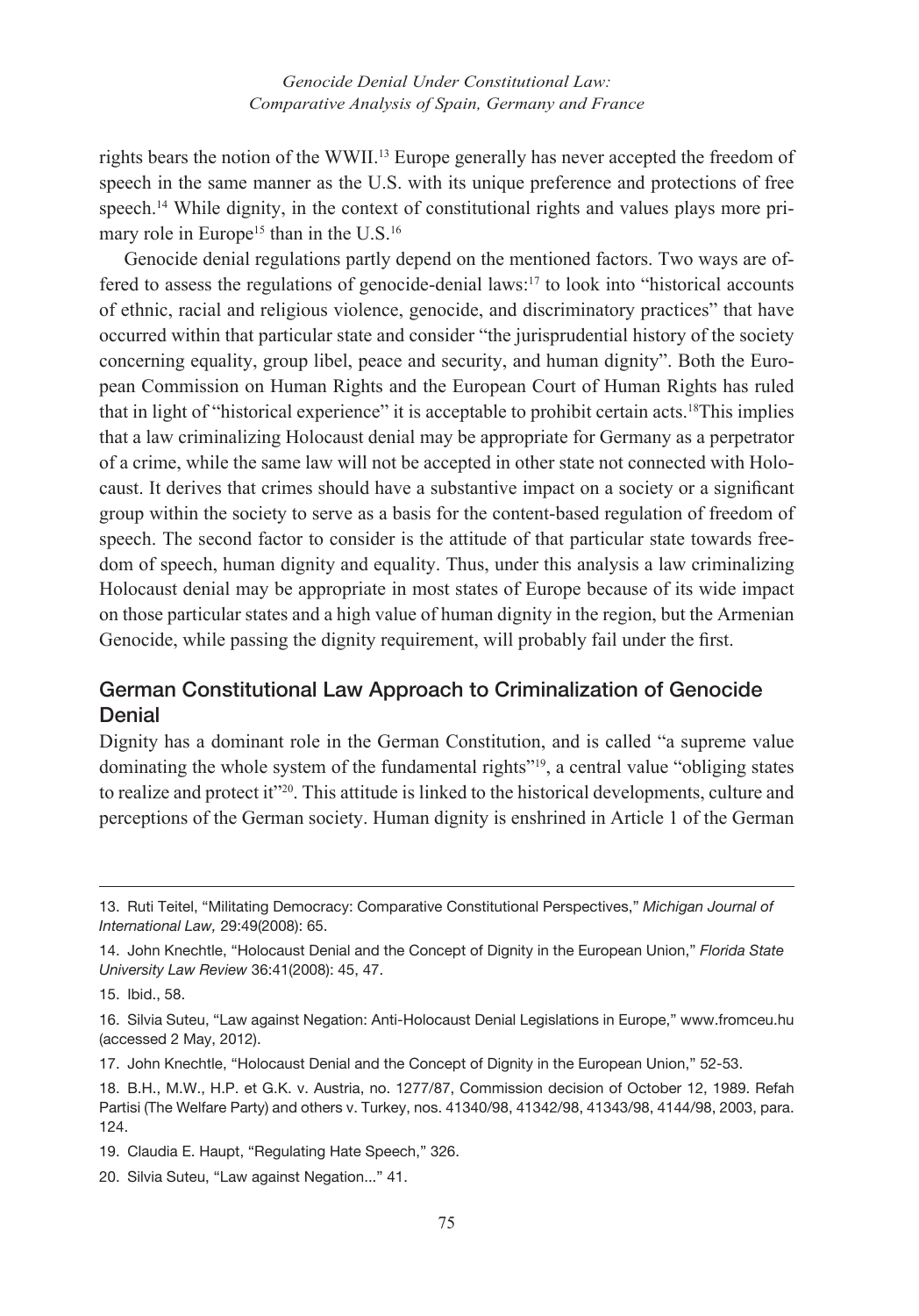rights bears the notion of the WWII.13 Europe generally has never accepted the freedom of speech in the same manner as the U.S. with its unique preference and protections of free speech.<sup>14</sup> While dignity, in the context of constitutional rights and values plays more primary role in Europe<sup>15</sup> than in the  $U.S.^{16}$ 

Genocide denial regulations partly depend on the mentioned factors. Two ways are offered to assess the regulations of genocide-denial laws:17 to look into "historical accounts of ethnic, racial and religious violence, genocide, and discriminatory practices" that have occurred within that particular state and consider "the jurisprudential history of the society concerning equality, group libel, peace and security, and human dignity". Both the European Commission on Human Rights and the European Court of Human Rights has ruled that in light of "historical experience" it is acceptable to prohibit certain acts.18This implies that a law criminalizing Holocaust denial may be appropriate for Germany as a perpetrator of a crime, while the same law will not be accepted in other state not connected with Holocaust. It derives that crimes should have a substantive impact on a society or a significant group within the society to serve as a basis for the content-based regulation of freedom of speech. The second factor to consider is the attitude of that particular state towards freedom of speech, human dignity and equality. Thus, under this analysis a law criminalizing Holocaust denial may be appropriate in most states of Europe because of its wide impact on those particular states and a high value of human dignity in the region, but the Armenian Genocide, while passing the dignity requirement, will probably fail under the first.

## German Constitutional Law Approach to Criminalization of Genocide Denial

Dignity has a dominant role in the German Constitution, and is called "a supreme value dominating the whole system of the fundamental rights"<sup>19</sup>, a central value "obliging states" to realize and protect it"<sup>20</sup>. This attitude is linked to the historical developments, culture and perceptions of the German society. Human dignity is enshrined in Article 1 of the German

<sup>13.</sup> Ruti Teitel, "Militating Democracy: Comparative Constitutional Perspectives," *Michigan Journal of International Law,* 29:49(2008): 65.

<sup>14.</sup> John Knechtle, "Holocaust Denial and the Concept of Dignity in the European Union," *Florida State University Law Review* 36:41(2008): 45, 47.

<sup>15.</sup> Ibid., 58.

<sup>16.</sup> Silvia Suteu, "Law against Negation: Anti-Holocaust Denial Legislations in Europe," www.fromceu.hu (accessed 2 May, 2012).

<sup>17.</sup> John Knechtle, "Holocaust Denial and the Concept of Dignity in the European Union," 52-53.

<sup>18.</sup> B.H., M.W., H.P. et G.K. v. Austria, no. 1277/87, Commission decision of October 12, 1989. Refah Partisi (The Welfare Party) and others v. Turkey, nos. 41340/98, 41342/98, 41343/98, 4144/98, 2003, para. 124.

<sup>19.</sup> Claudia E. Haupt, "Regulating Hate Speech," 326.

<sup>20.</sup> Silvia Suteu, "Law against Negation..." 41.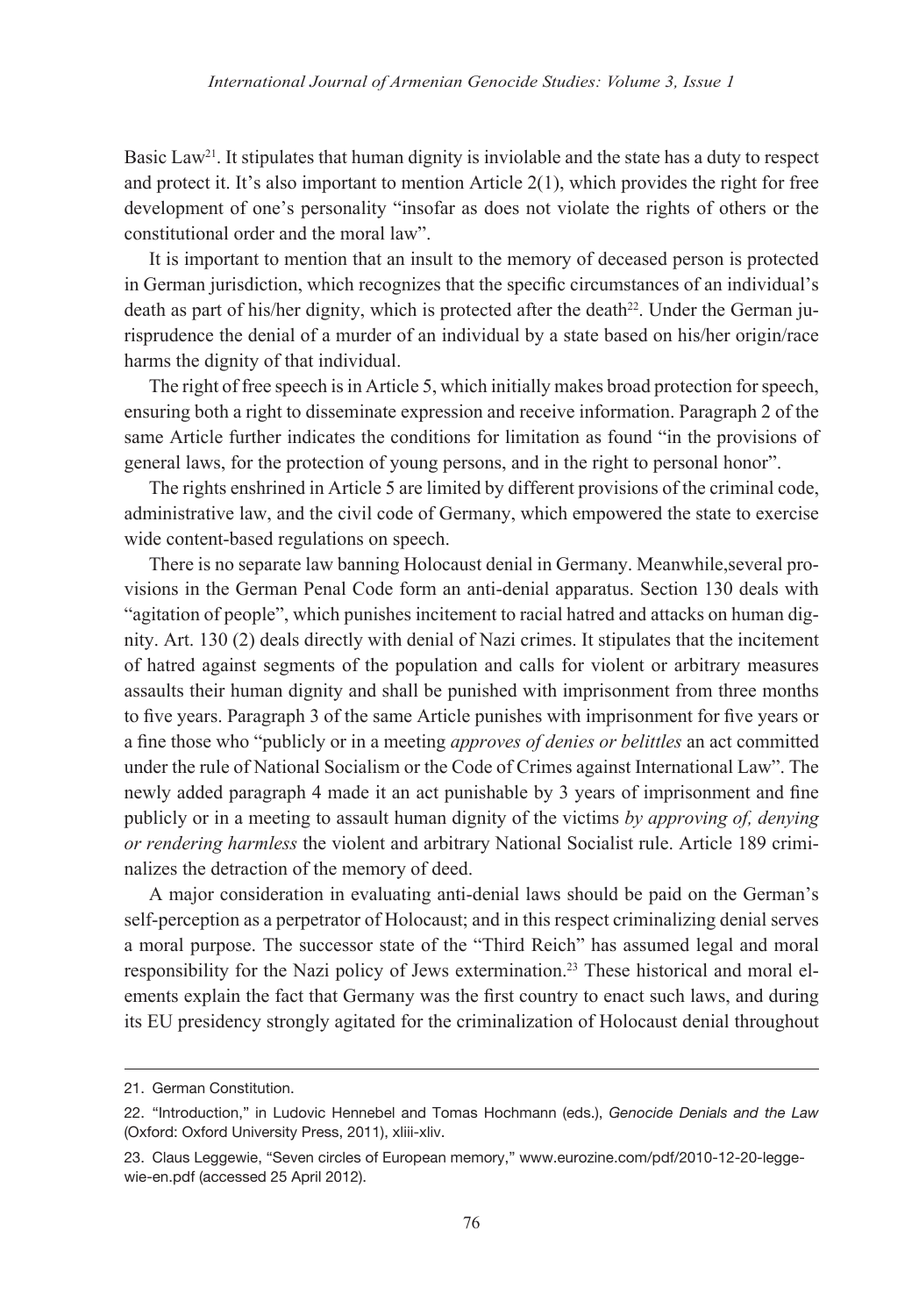Basic Law<sup>21</sup>. It stipulates that human dignity is inviolable and the state has a duty to respect and protect it. It's also important to mention Article  $2(1)$ , which provides the right for free development of one's personality "insofar as does not violate the rights of others or the constitutional order and the moral law".

It is important to mention that an insult to the memory of deceased person is protected in German jurisdiction, which recognizes that the specific circumstances of an individual's death as part of his/her dignity, which is protected after the death $^{22}$ . Under the German jurisprudence the denial of a murder of an individual by a state based on his/her origin/race harms the dignity of that individual.

The right of free speech is in Article 5, which initially makes broad protection for speech, ensuring both a right to disseminate expression and receive information. Paragraph 2 of the same Article further indicates the conditions for limitation as found "in the provisions of general laws, for the protection of young persons, and in the right to personal honor".

The rights enshrined in Article 5 are limited by different provisions of the criminal code, administrative law, and the civil code of Germany, which empowered the state to exercise wide content-based regulations on speech.

There is no separate law banning Holocaust denial in Germany. Meanwhile,several provisions in the German Penal Code form an anti-denial apparatus. Section 130 deals with "agitation of people", which punishes incitement to racial hatred and attacks on human dignity. Art. 130 (2) deals directly with denial of Nazi crimes. It stipulates that the incitement of hatred against segments of the population and calls for violent or arbitrary measures assaults their human dignity and shall be punished with imprisonment from three months to five years. Paragraph 3 of the same Article punishes with imprisonment for five years or a fine those who "publicly or in a meeting *approves of denies or belittles* an act committed under the rule of National Socialism or the Code of Crimes against International Law". The newly added paragraph 4 made it an act punishable by 3 years of imprisonment and fine publicly or in a meeting to assault human dignity of the victims *by approving of, denying or rendering harmless* the violent and arbitrary National Socialist rule. Article 189 criminalizes the detraction of the memory of deed.

A major consideration in evaluating anti-denial laws should be paid on the German's self-perception as a perpetrator of Holocaust; and in this respect criminalizing denial serves a moral purpose. The successor state of the "Third Reich" has assumed legal and moral responsibility for the Nazi policy of Jews extermination.23 These historical and moral elements explain the fact that Germany was the first country to enact such laws, and during its EU presidency strongly agitated for the criminalization of Holocaust denial throughout

<sup>21.</sup> German Constitution.

<sup>22.</sup> "Introduction," in Ludovic Hennebel and Tomas Hochmann (eds.), *Genocide Denials and the Law* (Oxford: Oxford University Press, 2011), xliii-xliv.

<sup>23.</sup> Claus Leggewie, "Seven circles of European memory," www.eurozine.com/pdf/2010-12-20-leggewie-en.pdf (accessed 25 April 2012).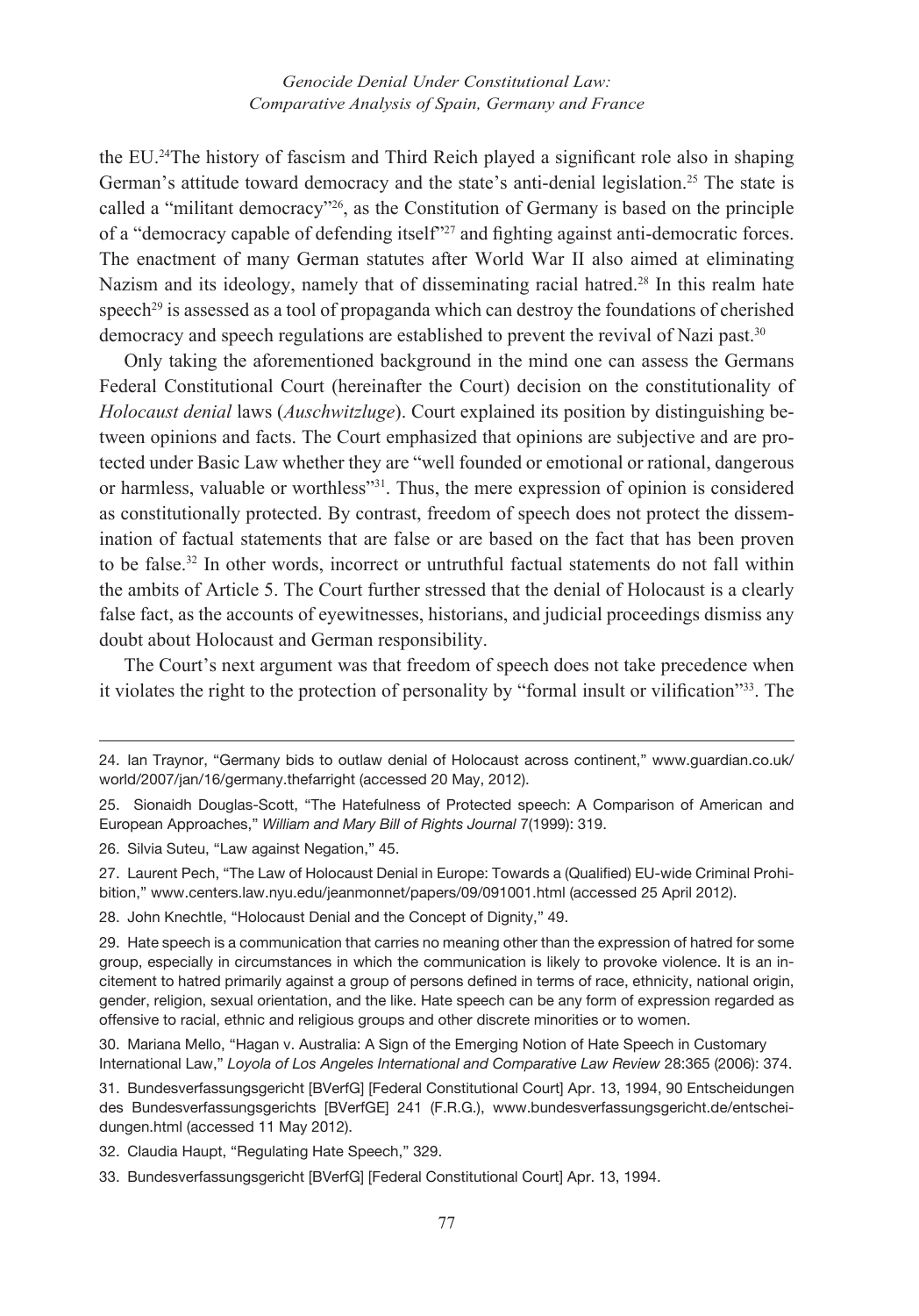the EU.24The history of fascism and Third Reich played a significant role also in shaping German's attitude toward democracy and the state's anti-denial legislation.<sup>25</sup> The state is called a "militant democracy"26, as the Constitution of Germany is based on the principle of a "democracy capable of defending itself"<sup>27</sup> and fighting against anti-democratic forces. The enactment of many German statutes after World War II also aimed at eliminating Nazism and its ideology, namely that of disseminating racial hatred.<sup>28</sup> In this realm hate speech<sup>29</sup> is assessed as a tool of propaganda which can destroy the foundations of cherished democracy and speech regulations are established to prevent the revival of Nazi past.<sup>30</sup>

Only taking the aforementioned background in the mind one can assess the Germans Federal Constitutional Court (hereinafter the Court) decision on the constitutionality of *Holocaust denial* laws (*Auschwitzluge*). Court explained its position by distinguishing between opinions and facts. The Court emphasized that opinions are subjective and are protected under Basic Law whether they are "well founded or emotional or rational, dangerous or harmless, valuable or worthless"31. Thus, the mere expression of opinion is considered as constitutionally protected. By contrast, freedom of speech does not protect the dissemination of factual statements that are false or are based on the fact that has been proven to be false.32 In other words, incorrect or untruthful factual statements do not fall within the ambits of Article 5. The Court further stressed that the denial of Holocaust is a clearly false fact, as the accounts of eyewitnesses, historians, and judicial proceedings dismiss any doubt about Holocaust and German responsibility.

The Court's next argument was that freedom of speech does not take precedence when it violates the right to the protection of personality by "formal insult or vilification"33. The

26. Silvia Suteu, "Law against Negation," 45.

28. John Knechtle, "Holocaust Denial and the Concept of Dignity," 49.

<sup>24.</sup> Ian Traynor, "Germany bids to outlaw denial of Holocaust across continent," www.guardian.co.uk/ world/2007/jan/16/germany.thefarright (accessed 20 May, 2012).

<sup>25.</sup> Sionaidh Douglas-Scott, "The Hatefulness of Protected speech: A Comparison of American and European Approaches," *William and Mary Bill of Rights Journal* 7(1999): 319.

<sup>27.</sup> Laurent Pech, "The Law of Holocaust Denial in Europe: Towards a (Qualified) EU-wide Criminal Prohibition," www.centers.law.nyu.edu/jeanmonnet/papers/09/091001.html (accessed 25 April 2012).

<sup>29.</sup> Hate speech is a communication that carries no meaning other than the expression of hatred for some group, especially in circumstances in which the communication is likely to provoke violence. It is an incitement to hatred primarily against a group of persons defined in terms of race, ethnicity, national origin, gender, religion, sexual orientation, and the like. Hate speech can be any form of expression regarded as offensive to racial, ethnic and religious groups and other discrete minorities or to women.

<sup>30.</sup> Mariana Mello, "Hagan v. Australia: A Sign of the Emerging Notion of Hate Speech in Customary International Law," *Loyola of Los Angeles International and Comparative Law Review* 28:365 (2006): 374.

<sup>31.</sup> Bundesverfassungsgericht [BVerfG] [Federal Constitutional Court] Apr. 13, 1994, 90 Entscheidungen des Bundesverfassungsgerichts [BVerfGE] 241 (F.R.G.), www.bundesverfassungsgericht.de/entscheidungen.html (accessed 11 May 2012).

<sup>32.</sup> Claudia Haupt, "Regulating Hate Speech," 329.

<sup>33.</sup> Bundesverfassungsgericht [BVerfG] [Federal Constitutional Court] Apr. 13, 1994.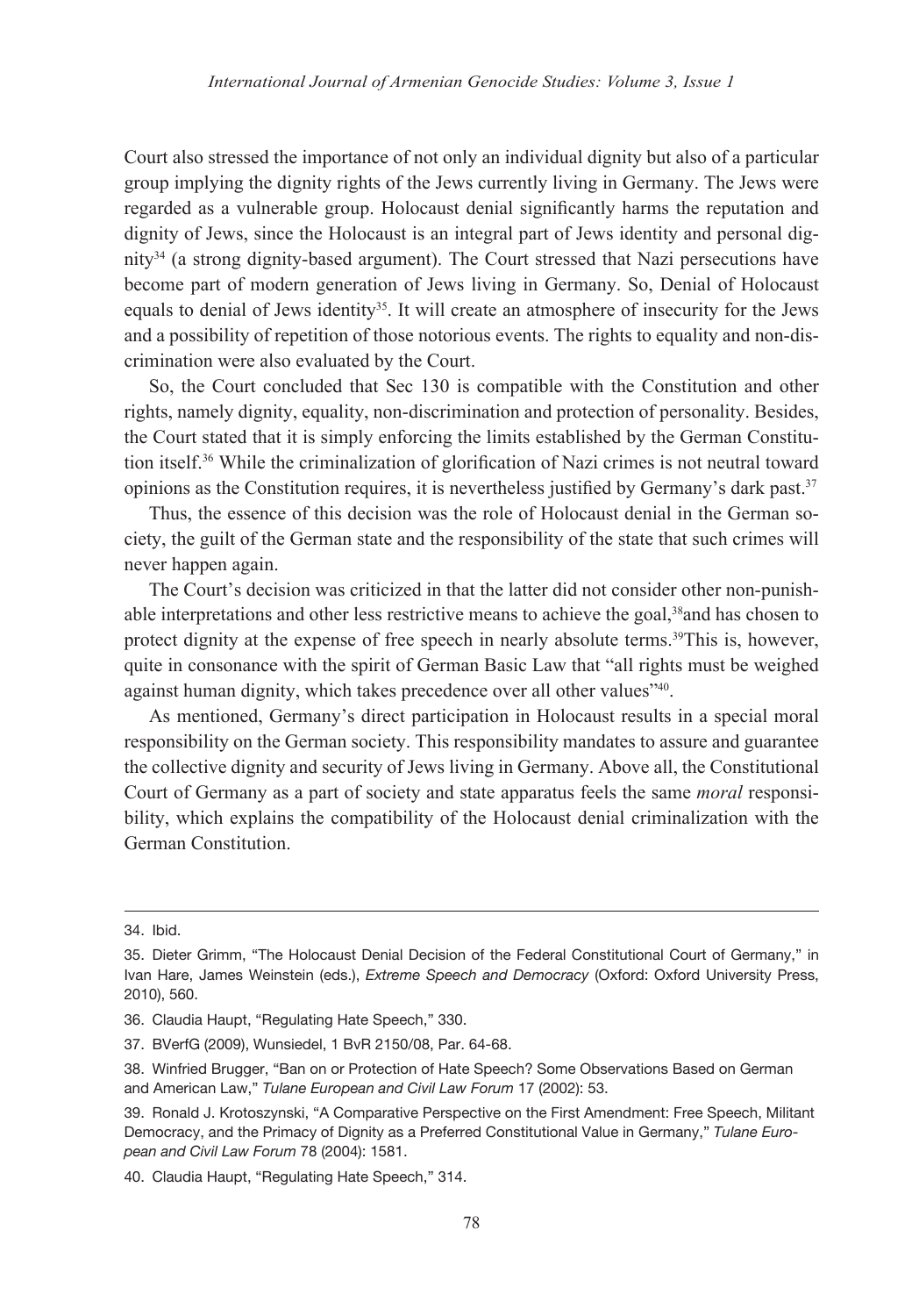Court also stressed the importance of not only an individual dignity but also of a particular group implying the dignity rights of the Jews currently living in Germany. The Jews were regarded as a vulnerable group. Holocaust denial significantly harms the reputation and dignity of Jews, since the Holocaust is an integral part of Jews identity and personal dignity34 (a strong dignity-based argument). The Court stressed that Nazi persecutions have become part of modern generation of Jews living in Germany. So, Denial of Holocaust equals to denial of Jews identity<sup>35</sup>. It will create an atmosphere of insecurity for the Jews and a possibility of repetition of those notorious events. The rights to equality and non-discrimination were also evaluated by the Court.

So, the Court concluded that Sec 130 is compatible with the Constitution and other rights, namely dignity, equality, non-discrimination and protection of personality. Besides, the Court stated that it is simply enforcing the limits established by the German Constitution itself.36 While the criminalization of glorification of Nazi crimes is not neutral toward opinions as the Constitution requires, it is nevertheless justified by Germany's dark past.<sup>37</sup>

Thus, the essence of this decision was the role of Holocaust denial in the German society, the guilt of the German state and the responsibility of the state that such crimes will never happen again.

The Court's decision was criticized in that the latter did not consider other non-punishable interpretations and other less restrictive means to achieve the goal,38and has chosen to protect dignity at the expense of free speech in nearly absolute terms.<sup>39</sup>This is, however, quite in consonance with the spirit of German Basic Law that "all rights must be weighed against human dignity, which takes precedence over all other values<sup>740</sup>.

As mentioned, Germany's direct participation in Holocaust results in a special moral responsibility on the German society. This responsibility mandates to assure and guarantee the collective dignity and security of Jews living in Germany. Above all, the Constitutional Court of Germany as a part of society and state apparatus feels the same *moral* responsibility, which explains the compatibility of the Holocaust denial criminalization with the German Constitution.

<sup>34.</sup> Ibid.

<sup>35.</sup> Dieter Grimm, "The Holocaust Denial Decision of the Federal Constitutional Court of Germany," in Ivan Hare, James Weinstein (eds.), *Extreme Speech and Democracy* (Oxford: Oxford University Press, 2010), 560.

<sup>36.</sup> Claudia Haupt, "Regulating Hate Speech," 330.

<sup>37.</sup> BVerfG (2009), Wunsiedel, 1 BvR 2150/08, Par. 64-68.

<sup>38.</sup> Winfried Brugger, "Ban on or Protection of Hate Speech? Some Observations Based on German and American Law," *Tulane European and Civil Law Forum* 17 (2002): 53.

<sup>39.</sup> Ronald J. Krotoszynski, "A Comparative Perspective on the First Amendment: Free Speech, Militant Democracy, and the Primacy of Dignity as a Preferred Constitutional Value in Germany," *Tulane European and Civil Law Forum* 78 (2004): 1581.

<sup>40.</sup> Claudia Haupt, "Regulating Hate Speech," 314.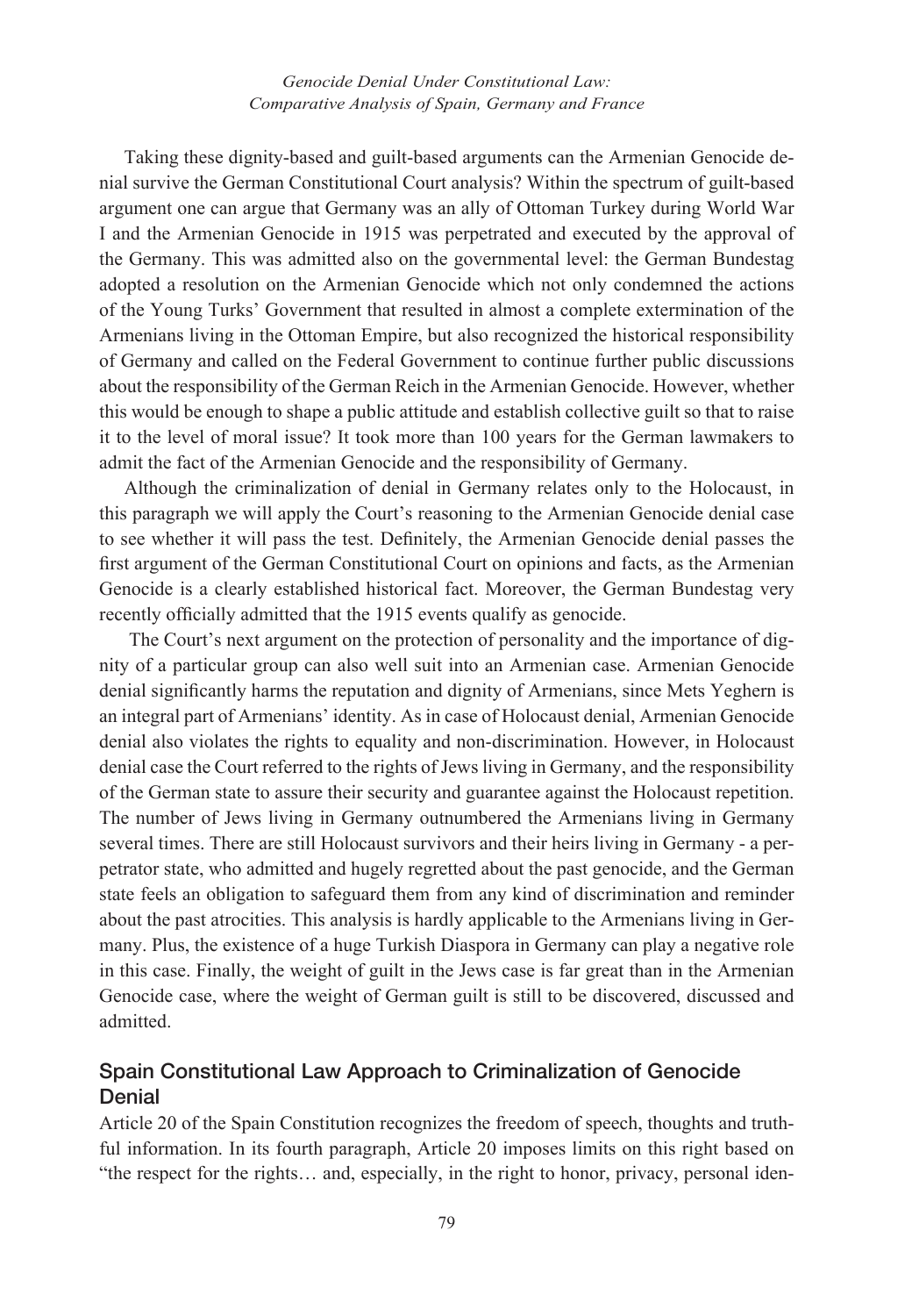Taking these dignity-based and guilt-based arguments can the Armenian Genocide denial survive the German Constitutional Court analysis? Within the spectrum of guilt-based argument one can argue that Germany was an ally of Ottoman Turkey during World War I and the Armenian Genocide in 1915 was perpetrated and executed by the approval of the Germany. This was admitted also on the governmental level: the German Bundestag adopted a resolution on the Armenian Genocide which not only condemned the actions of the Young Turks' Government that resulted in almost a complete extermination of the Armenians living in the Ottoman Empire, but also recognized the historical responsibility of Germany and called on the Federal Government to continue further public discussions about the responsibility of the German Reich in the Armenian Genocide. However, whether this would be enough to shape a public attitude and establish collective guilt so that to raise it to the level of moral issue? It took more than 100 years for the German lawmakers to admit the fact of the Armenian Genocide and the responsibility of Germany.

Although the criminalization of denial in Germany relates only to the Holocaust, in this paragraph we will apply the Court's reasoning to the Armenian Genocide denial case to see whether it will pass the test. Definitely, the Armenian Genocide denial passes the first argument of the German Constitutional Court on opinions and facts, as the Armenian Genocide is a clearly established historical fact. Moreover, the German Bundestag very recently officially admitted that the 1915 events qualify as genocide.

 The Court's next argument on the protection of personality and the importance of dignity of a particular group can also well suit into an Armenian case. Armenian Genocide denial significantly harms the reputation and dignity of Armenians, since Mets Yeghern is an integral part of Armenians' identity. As in case of Holocaust denial, Armenian Genocide denial also violates the rights to equality and non-discrimination. However, in Holocaust denial case the Court referred to the rights of Jews living in Germany, and the responsibility of the German state to assure their security and guarantee against the Holocaust repetition. The number of Jews living in Germany outnumbered the Armenians living in Germany several times. There are still Holocaust survivors and their heirs living in Germany - a perpetrator state, who admitted and hugely regretted about the past genocide, and the German state feels an obligation to safeguard them from any kind of discrimination and reminder about the past atrocities. This analysis is hardly applicable to the Armenians living in Germany. Plus, the existence of a huge Turkish Diaspora in Germany can play a negative role in this case. Finally, the weight of guilt in the Jews case is far great than in the Armenian Genocide case, where the weight of German guilt is still to be discovered, discussed and admitted.

## Spain Constitutional Law Approach to Criminalization of Genocide **Denial**

Article 20 of the Spain Constitution recognizes the freedom of speech, thoughts and truthful information. In its fourth paragraph, Article 20 imposes limits on this right based on "the respect for the rights… and, especially, in the right to honor, privacy, personal iden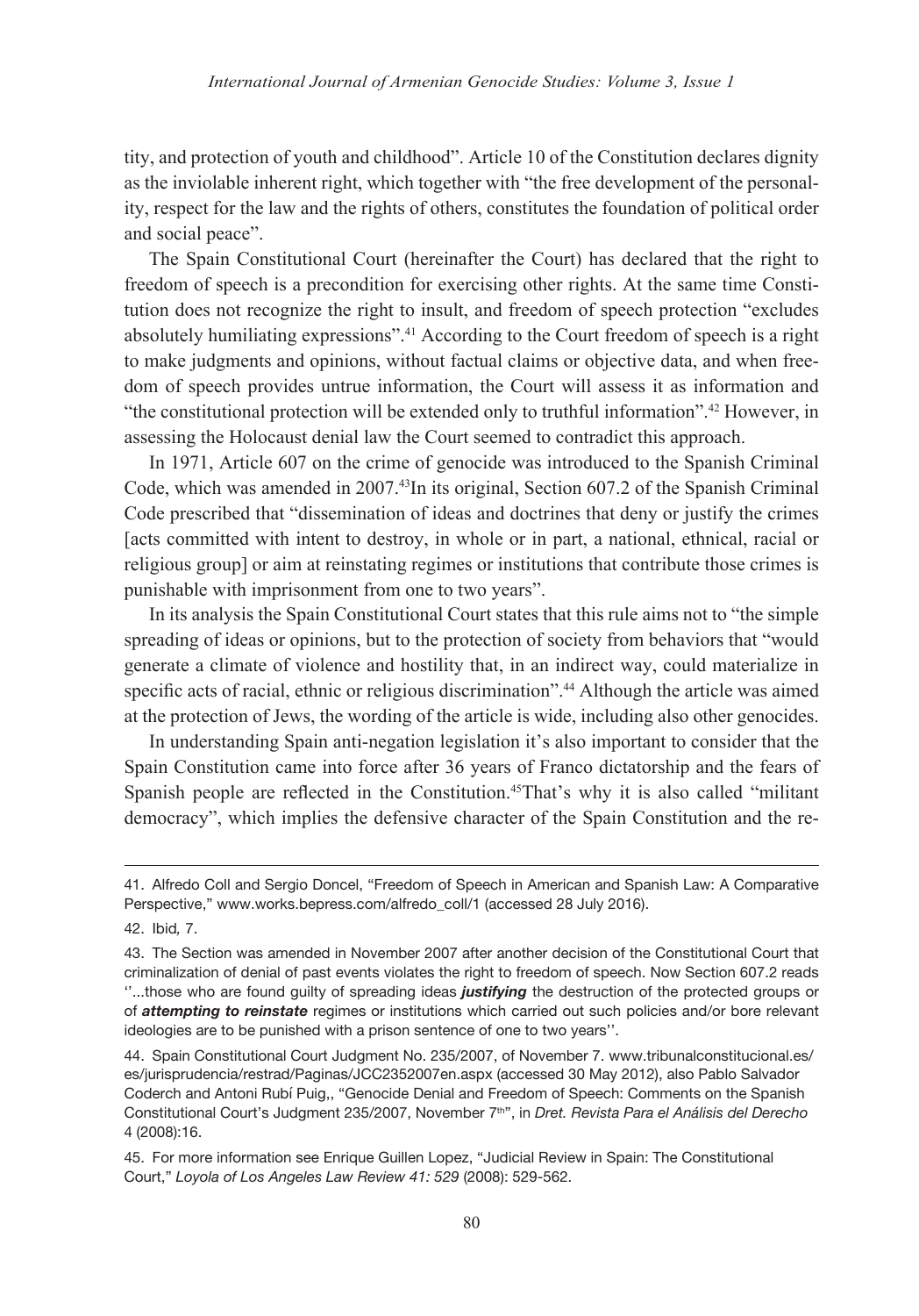tity, and protection of youth and childhood". Article 10 of the Constitution declares dignity as the inviolable inherent right, which together with "the free development of the personality, respect for the law and the rights of others, constitutes the foundation of political order and social peace".

The Spain Constitutional Court (hereinafter the Court) has declared that the right to freedom of speech is a precondition for exercising other rights. At the same time Constitution does not recognize the right to insult, and freedom of speech protection "excludes absolutely humiliating expressions".41 According to the Court freedom of speech is a right to make judgments and opinions, without factual claims or objective data, and when freedom of speech provides untrue information, the Court will assess it as information and "the constitutional protection will be extended only to truthful information".42 However, in assessing the Holocaust denial law the Court seemed to contradict this approach.

In 1971, Article 607 on the crime of genocide was introduced to the Spanish Criminal Code, which was amended in 2007.43In its original, Section 607.2 of the Spanish Criminal Code prescribed that "dissemination of ideas and doctrines that deny or justify the crimes [acts committed with intent to destroy, in whole or in part, a national, ethnical, racial or religious group] or aim at reinstating regimes or institutions that contribute those crimes is punishable with imprisonment from one to two years".

In its analysis the Spain Constitutional Court states that this rule aims not to "the simple spreading of ideas or opinions, but to the protection of society from behaviors that "would generate a climate of violence and hostility that, in an indirect way, could materialize in specific acts of racial, ethnic or religious discrimination".44 Although the article was aimed at the protection of Jews, the wording of the article is wide, including also other genocides.

In understanding Spain anti-negation legislation it's also important to consider that the Spain Constitution came into force after 36 years of Franco dictatorship and the fears of Spanish people are reflected in the Constitution.<sup>45</sup>That's why it is also called "militant democracy", which implies the defensive character of the Spain Constitution and the re-

<sup>41.</sup> Alfredo Coll and Sergio Doncel, "Freedom of Speech in American and Spanish Law: A Comparative Perspective," www.works.bepress.com/alfredo\_coll/1 (accessed 28 July 2016).

<sup>42.</sup> Ibid*,* 7.

<sup>43.</sup> The Section was amended in November 2007 after another decision of the Constitutional Court that criminalization of denial of past events violates the right to freedom of speech. Now Section 607.2 reads ''...those who are found guilty of spreading ideas *justifying* the destruction of the protected groups or of *attempting to reinstate* regimes or institutions which carried out such policies and/or bore relevant ideologies are to be punished with a prison sentence of one to two years''.

<sup>44.</sup> Spain Constitutional Court Judgment No. 235/2007, of November 7. www.tribunalconstitucional.es/ es/jurisprudencia/restrad/Paginas/JCC2352007en.aspx (accessed 30 May 2012), also Pablo Salvador Coderch and Antoni Rubí Puig,, "Genocide Denial and Freedom of Speech: Comments on the Spanish Constitutional Court's Judgment 235/2007, November 7th", in *Dret. Revista Para el Análisis del Derecho* 4 (2008):16.

<sup>45.</sup> For more information see Enrique Guillen Lopez, "Judicial Review in Spain: The Constitutional Court," *Loyola of Los Angeles Law Review 41: 529* (2008): 529-562.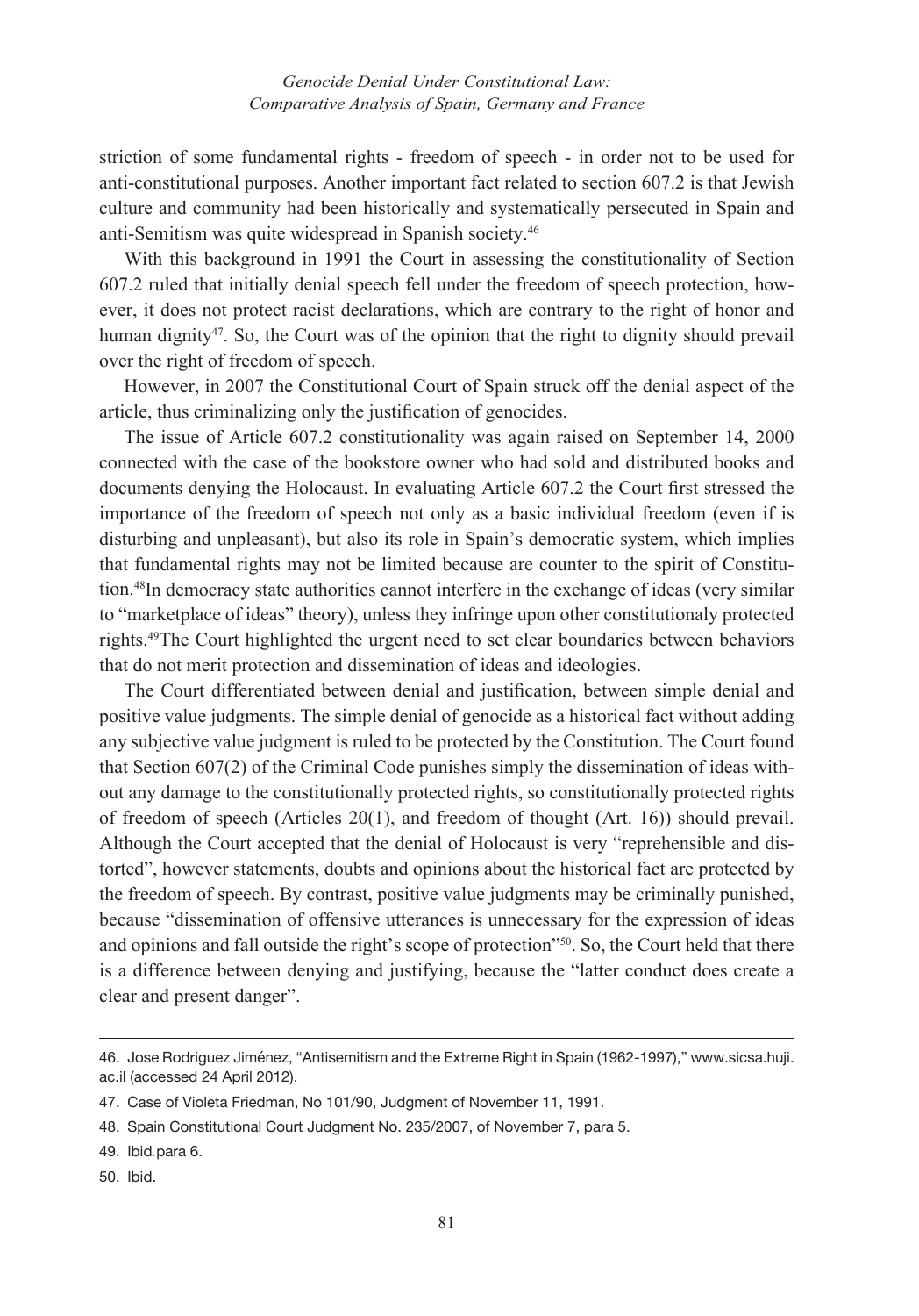striction of some fundamental rights - freedom of speech - in order not to be used for anti-constitutional purposes. Another important fact related to section 607.2 is that Jewish culture and community had been historically and systematically persecuted in Spain and anti-Semitism was quite widespread in Spanish society.46

With this background in 1991 the Court in assessing the constitutionality of Section 607.2 ruled that initially denial speech fell under the freedom of speech protection, however, it does not protect racist declarations, which are contrary to the right of honor and human dignity<sup>47</sup>. So, the Court was of the opinion that the right to dignity should prevail over the right of freedom of speech.

However, in 2007 the Constitutional Court of Spain struck off the denial aspect of the article, thus criminalizing only the justification of genocides.

The issue of Article 607.2 constitutionality was again raised on September 14, 2000 connected with the case of the bookstore owner who had sold and distributed books and documents denying the Holocaust. In evaluating Article 607.2 the Court first stressed the importance of the freedom of speech not only as a basic individual freedom (even if is disturbing and unpleasant), but also its role in Spain's democratic system, which implies that fundamental rights may not be limited because are counter to the spirit of Constitution.48In democracy state authorities cannot interfere in the exchange of ideas (very similar to "marketplace of ideas" theory), unless they infringe upon other constitutionaly protected rights.49The Court highlighted the urgent need to set clear boundaries between behaviors that do not merit protection and dissemination of ideas and ideologies.

The Court differentiated between denial and justification, between simple denial and positive value judgments. The simple denial of genocide as a historical fact without adding any subjective value judgment is ruled to be protected by the Constitution. The Court found that Section 607(2) of the Criminal Code punishes simply the dissemination of ideas without any damage to the constitutionally protected rights, so constitutionally protected rights of freedom of speech (Articles 20(1), and freedom of thought (Art. 16)) should prevail. Although the Court accepted that the denial of Holocaust is very "reprehensible and distorted", however statements, doubts and opinions about the historical fact are protected by the freedom of speech. By contrast, positive value judgments may be criminally punished, because "dissemination of offensive utterances is unnecessary for the expression of ideas and opinions and fall outside the right's scope of protection"<sup>50</sup>. So, the Court held that there is a difference between denying and justifying, because the "latter conduct does create a clear and present danger".

50. Ibid.

<sup>46.</sup> Jose Rodriguez Jiménez, "Antisemitism and the Extreme Right in Spain (1962-1997)," www.sicsa.huji. ac.il (accessed 24 April 2012).

<sup>47.</sup> Case of Violeta Friedman, No 101/90, Judgment of November 11, 1991.

<sup>48.</sup> Spain Constitutional Court Judgment No. 235/2007, of November 7, para 5.

<sup>49.</sup> Ibid*.*para 6.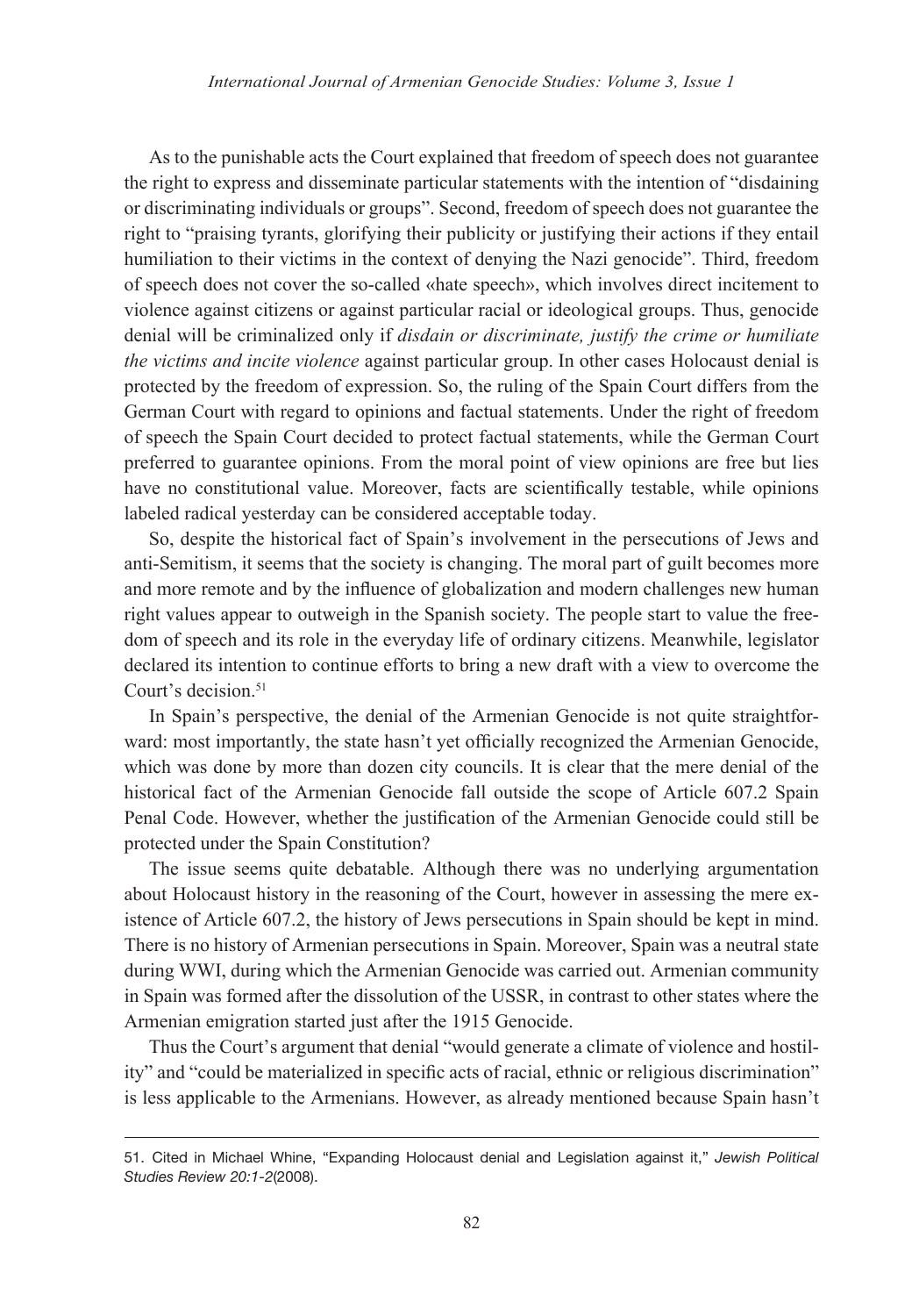As to the punishable acts the Court explained that freedom of speech does not guarantee the right to express and disseminate particular statements with the intention of "disdaining or discriminating individuals or groups". Second, freedom of speech does not guarantee the right to "praising tyrants, glorifying their publicity or justifying their actions if they entail humiliation to their victims in the context of denying the Nazi genocide". Third, freedom of speech does not cover the so-called «hate speech», which involves direct incitement to violence against citizens or against particular racial or ideological groups. Thus, genocide denial will be criminalized only if *disdain or discriminate, justify the crime or humiliate the victims and incite violence* against particular group. In other cases Holocaust denial is protected by the freedom of expression. So, the ruling of the Spain Court differs from the German Court with regard to opinions and factual statements. Under the right of freedom of speech the Spain Court decided to protect factual statements, while the German Court preferred to guarantee opinions. From the moral point of view opinions are free but lies have no constitutional value. Moreover, facts are scientifically testable, while opinions labeled radical yesterday can be considered acceptable today.

So, despite the historical fact of Spain's involvement in the persecutions of Jews and anti-Semitism, it seems that the society is changing. The moral part of guilt becomes more and more remote and by the influence of globalization and modern challenges new human right values appear to outweigh in the Spanish society. The people start to value the freedom of speech and its role in the everyday life of ordinary citizens. Meanwhile, legislator declared its intention to continue efforts to bring a new draft with a view to overcome the Court's decision.<sup>51</sup>

In Spain's perspective, the denial of the Armenian Genocide is not quite straightforward: most importantly, the state hasn't yet officially recognized the Armenian Genocide, which was done by more than dozen city councils. It is clear that the mere denial of the historical fact of the Armenian Genocide fall outside the scope of Article 607.2 Spain Penal Code. However, whether the justification of the Armenian Genocide could still be protected under the Spain Constitution?

The issue seems quite debatable. Although there was no underlying argumentation about Holocaust history in the reasoning of the Court, however in assessing the mere existence of Article 607.2, the history of Jews persecutions in Spain should be kept in mind. There is no history of Armenian persecutions in Spain. Moreover, Spain was a neutral state during WWI, during which the Armenian Genocide was carried out. Armenian community in Spain was formed after the dissolution of the USSR, in contrast to other states where the Armenian emigration started just after the 1915 Genocide.

Thus the Court's argument that denial "would generate a climate of violence and hostility" and "could be materialized in specific acts of racial, ethnic or religious discrimination" is less applicable to the Armenians. However, as already mentioned because Spain hasn't

<sup>51.</sup> Cited in Michael Whine, "Expanding Holocaust denial and Legislation against it," *Jewish Political Studies Review 20:1-2*(2008).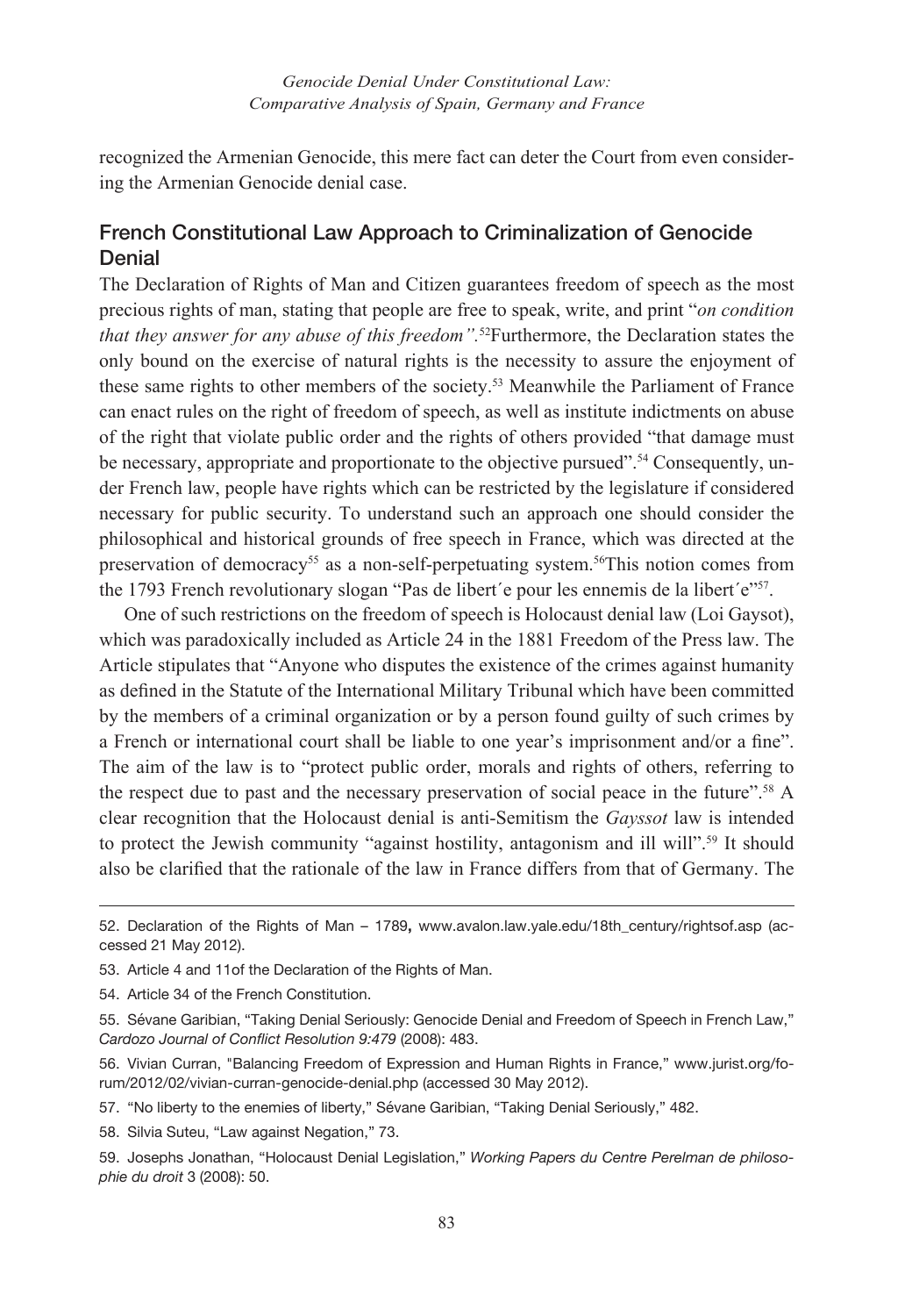recognized the Armenian Genocide, this mere fact can deter the Court from even considering the Armenian Genocide denial case.

## French Constitutional Law Approach to Criminalization of Genocide **Denial**

The Declaration of Rights of Man and Citizen guarantees freedom of speech as the most precious rights of man, stating that people are free to speak, write, and print "*on condition that they answer for any abuse of this freedom".*52Furthermore, the Declaration states the only bound on the exercise of natural rights is the necessity to assure the enjoyment of these same rights to other members of the society.<sup>53</sup> Meanwhile the Parliament of France can enact rules on the right of freedom of speech, as well as institute indictments on abuse of the right that violate public order and the rights of others provided "that damage must be necessary, appropriate and proportionate to the objective pursued".<sup>54</sup> Consequently, under French law, people have rights which can be restricted by the legislature if considered necessary for public security. To understand such an approach one should consider the philosophical and historical grounds of free speech in France, which was directed at the preservation of democracy55 as a non-self-perpetuating system.56This notion comes from the 1793 French revolutionary slogan "Pas de libert'e pour les ennemis de la libert'e"<sup>57</sup>.

One of such restrictions on the freedom of speech is Holocaust denial law (Loi Gaysot), which was paradoxically included as Article 24 in the 1881 Freedom of the Press law. The Article stipulates that "Anyone who disputes the existence of the crimes against humanity as defined in the Statute of the International Military Tribunal which have been committed by the members of a criminal organization or by a person found guilty of such crimes by a French or international court shall be liable to one year's imprisonment and/or a fine". The aim of the law is to "protect public order, morals and rights of others, referring to the respect due to past and the necessary preservation of social peace in the future".58 A clear recognition that the Holocaust denial is anti-Semitism the *Gayssot* law is intended to protect the Jewish community "against hostility, antagonism and ill will".<sup>59</sup> It should also be clarified that the rationale of the law in France differs from that of Germany. The

<sup>52.</sup> Declaration of the Rights of Man – 1789**,** www.avalon.law.yale.edu/18th\_century/rightsof.asp (accessed 21 May 2012).

<sup>53.</sup> Article 4 and 11 of the Declaration of the Rights of Man.

<sup>54.</sup> Article 34 of the French Constitution.

<sup>55.</sup> Sévane Garibian, "Taking Denial Seriously: Genocide Denial and Freedom of Speech in French Law," *Cardozo Journal of Conflict Resolution 9:479* (2008): 483.

<sup>56.</sup> Vivian Curran, "Balancing Freedom of Expression and Human Rights in France," www.jurist.org/forum/2012/02/vivian-curran-genocide-denial.php (accessed 30 May 2012).

<sup>57.</sup> "No liberty to the enemies of liberty," Sévane Garibian, "Taking Denial Seriously," 482.

<sup>58.</sup> Silvia Suteu, "Law against Negation," 73.

<sup>59.</sup> Josephs Jonathan, "Holocaust Denial Legislation," *Working Papers du Centre Perelman de philosophie du droit* 3 (2008): 50.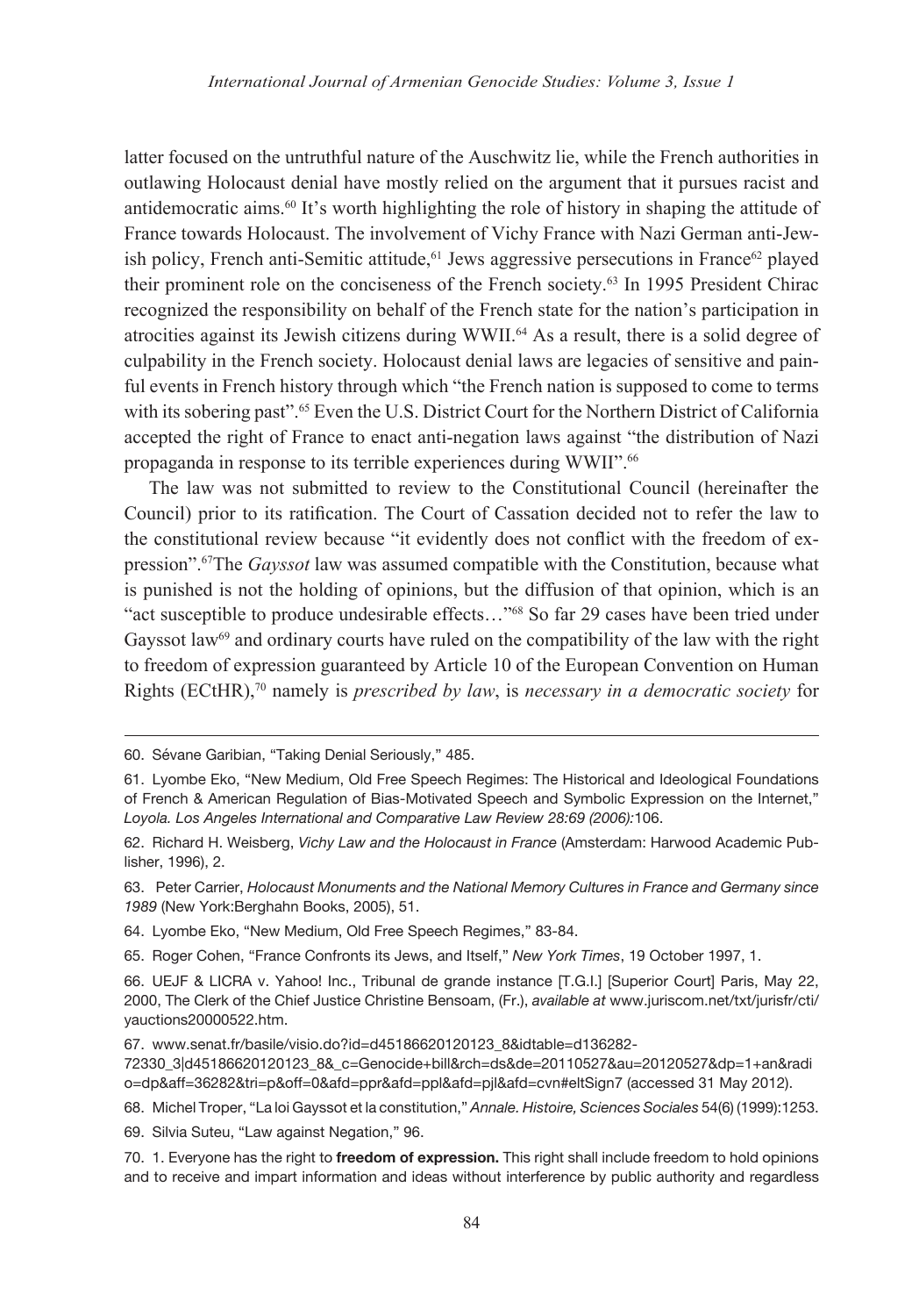latter focused on the untruthful nature of the Auschwitz lie, while the French authorities in outlawing Holocaust denial have mostly relied on the argument that it pursues racist and antidemocratic aims.60 It's worth highlighting the role of history in shaping the attitude of France towards Holocaust. The involvement of Vichy France with Nazi German anti-Jewish policy, French anti-Semitic attitude,<sup>61</sup> Jews aggressive persecutions in France<sup>62</sup> played their prominent role on the conciseness of the French society.63 In 1995 President Chirac recognized the responsibility on behalf of the French state for the nation's participation in atrocities against its Jewish citizens during WWII.64 As a result, there is a solid degree of culpability in the French society. Holocaust denial laws are legacies of sensitive and painful events in French history through which "the French nation is supposed to come to terms with its sobering past".<sup>65</sup> Even the U.S. District Court for the Northern District of California accepted the right of France to enact anti-negation laws against "the distribution of Nazi propaganda in response to its terrible experiences during WWII".66

The law was not submitted to review to the Constitutional Council (hereinafter the Council) prior to its ratification. The Court of Cassation decided not to refer the law to the constitutional review because "it evidently does not conflict with the freedom of expression".67The *Gayssot* law was assumed compatible with the Constitution, because what is punished is not the holding of opinions, but the diffusion of that opinion, which is an "act susceptible to produce undesirable effects..."<sup>68</sup> So far 29 cases have been tried under Gayssot law<sup>69</sup> and ordinary courts have ruled on the compatibility of the law with the right to freedom of expression guaranteed by Article 10 of the European Convention on Human Rights (ECtHR),70 namely is *prescribed by law*, is *necessary in a democratic society* for

69. Silvia Suteu, "Law against Negation," 96.

<sup>60.</sup> Sévane Garibian, "Taking Denial Seriously," 485.

<sup>61.</sup> Lyombe Eko, "New Medium, Old Free Speech Regimes: The Historical and Ideological Foundations of French & American Regulation of Bias-Motivated Speech and Symbolic Expression on the Internet," *Loyola. Los Angeles International and Comparative Law Review 28:69 (2006):*106.

<sup>62.</sup> Richard H. Weisberg, *Vichy Law and the Holocaust in France* (Amsterdam: Harwood Academic Publisher, 1996), 2.

<sup>63.</sup> Peter Carrier, *Holocaust Monuments and the National Memory Cultures in France and Germany since 1989* (New York:Berghahn Books, 2005), 51.

<sup>64.</sup> Lyombe Eko, "New Medium, Old Free Speech Regimes," 83-84.

<sup>65.</sup> Roger Cohen, "France Confronts its Jews, and Itself," *New York Times*, 19 October 1997, 1.

<sup>66.</sup> UEJF & LICRA v. Yahoo! Inc., Tribunal de grande instance [T.G.I.] [Superior Court] Paris, May 22, 2000, The Clerk of the Chief Justice Christine Bensoam, (Fr.), *available at* www.juriscom.net/txt/jurisfr/cti/ yauctions20000522.htm.

<sup>67.</sup> www.senat.fr/basile/visio.do?id=d45186620120123\_8&idtable=d136282-

<sup>72330</sup>\_3|d45186620120123\_8&\_c=Genocide+bill&rch=ds&de=20110527&au=20120527&dp=1+an&radi o=dp&aff=36282&tri=p&off=0&afd=ppr&afd=ppl&afd=pjl&afd=cvn#eltSign7 (accessed 31 May 2012).

<sup>68.</sup> Michel Troper, "La loi Gayssot et la constitution," *Annale. Histoire, Sciences Sociales* 54(6) (1999):1253.

<sup>70.</sup> 1. Everyone has the right to **freedom of expression.** This right shall include freedom to hold opinions and to receive and impart information and ideas without interference by public authority and regardless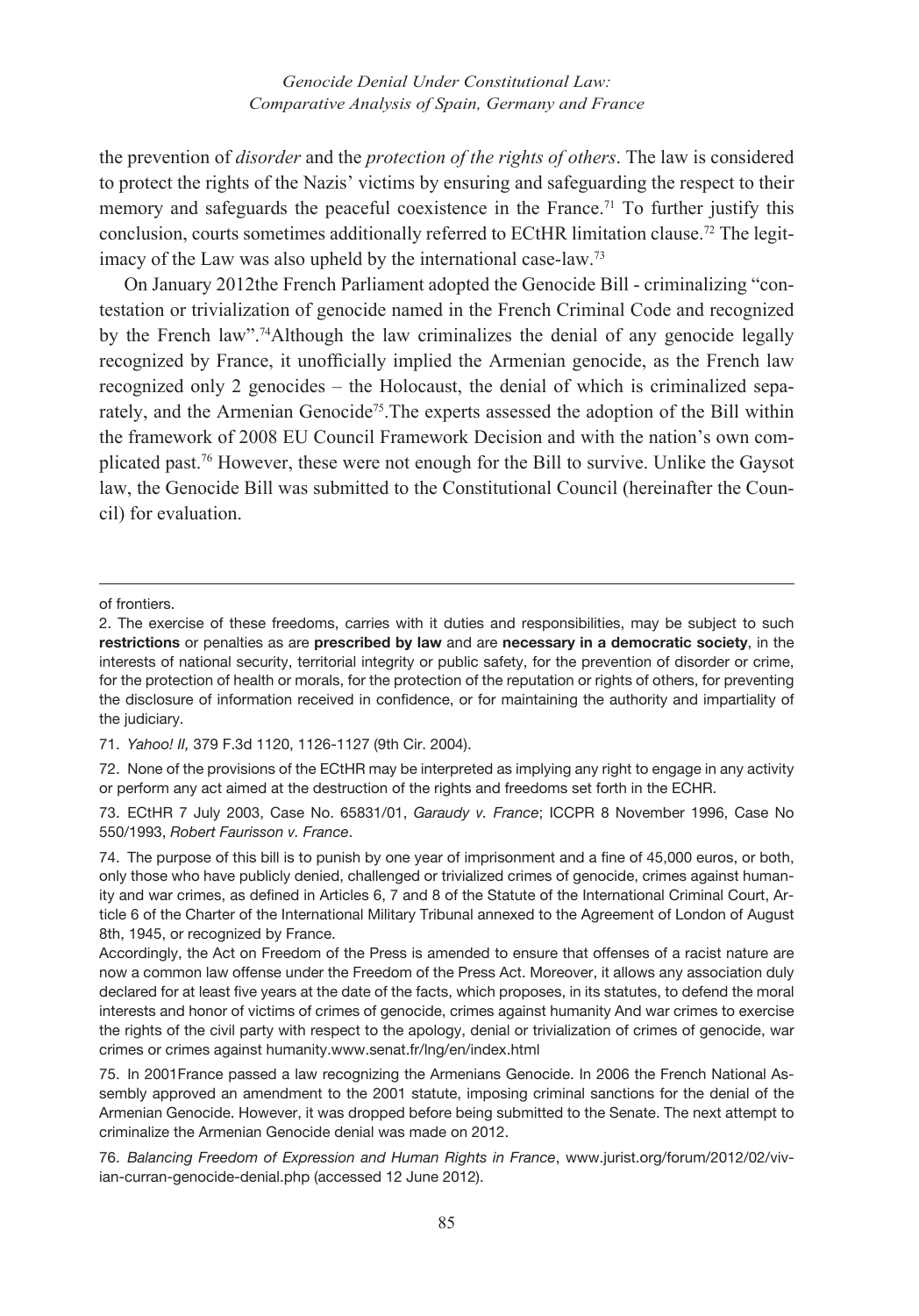the prevention of *disorder* and the *protection of the rights of others*. The law is considered to protect the rights of the Nazis' victims by ensuring and safeguarding the respect to their memory and safeguards the peaceful coexistence in the France.<sup>71</sup> To further justify this conclusion, courts sometimes additionally referred to ECtHR limitation clause.72 The legitimacy of the Law was also upheld by the international case-law.73

On January 2012the French Parliament adopted the Genocide Bill - criminalizing "contestation or trivialization of genocide named in the French Criminal Code and recognized by the French law".74Although the law criminalizes the denial of any genocide legally recognized by France, it unofficially implied the Armenian genocide, as the French law recognized only 2 genocides – the Holocaust, the denial of which is criminalized separately, and the Armenian Genocide<sup>75</sup>. The experts assessed the adoption of the Bill within the framework of 2008 EU Council Framework Decision and with the nation's own complicated past.76 However, these were not enough for the Bill to survive. Unlike the Gaysot law, the Genocide Bill was submitted to the Constitutional Council (hereinafter the Council) for evaluation.

71. *Yahoo! II,* 379 F.3d 1120, 1126-1127 (9th Cir. 2004).

of frontiers.

<sup>2.</sup> The exercise of these freedoms, carries with it duties and responsibilities, may be subject to such **restrictions** or penalties as are **prescribed by law** and are **necessary in a democratic society**, in the interests of national security, territorial integrity or public safety, for the prevention of disorder or crime, for the protection of health or morals, for the protection of the reputation or rights of others, for preventing the disclosure of information received in confidence, or for maintaining the authority and impartiality of the judiciary.

<sup>72.</sup> None of the provisions of the ECtHR may be interpreted as implying any right to engage in any activity or perform any act aimed at the destruction of the rights and freedoms set forth in the ECHR.

<sup>73.</sup> ECtHR 7 July 2003, Case No. 65831/01, *Garaudy v. France*; ICCPR 8 November 1996, Case No 550/1993, *Robert Faurisson v. France*.

<sup>74.</sup> The purpose of this bill is to punish by one year of imprisonment and a fine of 45,000 euros, or both, only those who have publicly denied, challenged or trivialized crimes of genocide, crimes against humanity and war crimes, as defined in Articles 6, 7 and 8 of the Statute of the International Criminal Court, Article 6 of the Charter of the International Military Tribunal annexed to the Agreement of London of August 8th, 1945, or recognized by France.

Accordingly, the Act on Freedom of the Press is amended to ensure that offenses of a racist nature are now a common law offense under the Freedom of the Press Act. Moreover, it allows any association duly declared for at least five years at the date of the facts, which proposes, in its statutes, to defend the moral interests and honor of victims of crimes of genocide, crimes against humanity And war crimes to exercise the rights of the civil party with respect to the apology, denial or trivialization of crimes of genocide, war crimes or crimes against humanity.www.senat.fr/lng/en/index.html

<sup>75.</sup> In 2001France passed a law recognizing the Armenians Genocide. In 2006 the French National Assembly approved an amendment to the 2001 statute, imposing criminal sanctions for the denial of the Armenian Genocide. However, it was dropped before being submitted to the Senate. The next attempt to criminalize the Armenian Genocide denial was made on 2012.

<sup>76.</sup> *Balancing Freedom of Expression and Human Rights in France*, www.jurist.org/forum/2012/02/vivian-curran-genocide-denial.php (accessed 12 June 2012).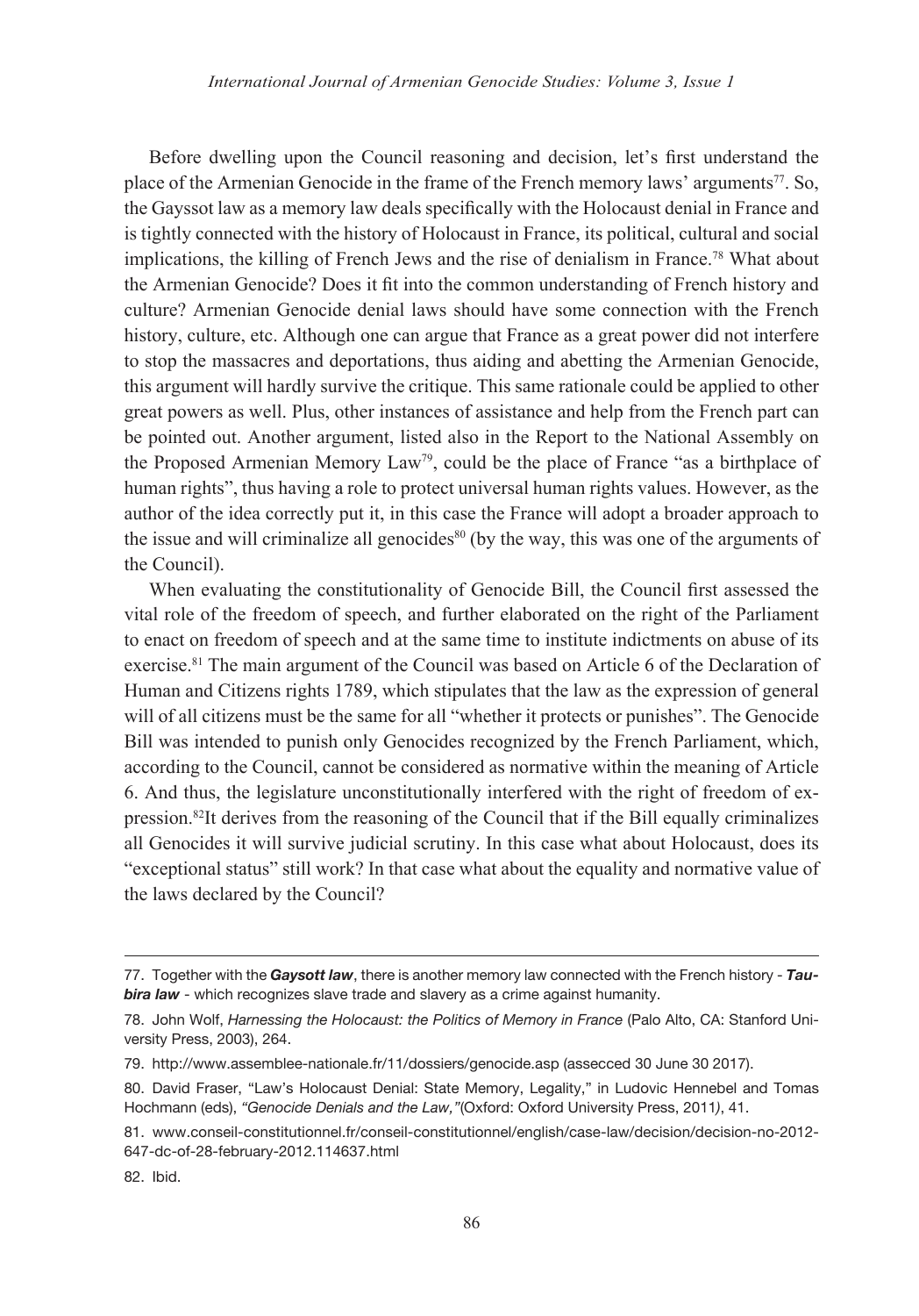Before dwelling upon the Council reasoning and decision, let's first understand the place of the Armenian Genocide in the frame of the French memory laws' arguments<sup>77</sup>. So, the Gayssot law as a memory law deals specifically with the Holocaust denial in France and is tightly connected with the history of Holocaust in France, its political, cultural and social implications, the killing of French Jews and the rise of denialism in France.78 What about the Armenian Genocide? Does it fit into the common understanding of French history and culture? Armenian Genocide denial laws should have some connection with the French history, culture, etc. Although one can argue that France as a great power did not interfere to stop the massacres and deportations, thus aiding and abetting the Armenian Genocide, this argument will hardly survive the critique. This same rationale could be applied to other great powers as well. Plus, other instances of assistance and help from the French part can be pointed out. Another argument, listed also in the Report to the National Assembly on the Proposed Armenian Memory Law79, could be the place of France "as a birthplace of human rights", thus having a role to protect universal human rights values. However, as the author of the idea correctly put it, in this case the France will adopt a broader approach to the issue and will criminalize all genocides $80$  (by the way, this was one of the arguments of the Council).

When evaluating the constitutionality of Genocide Bill, the Council first assessed the vital role of the freedom of speech, and further elaborated on the right of the Parliament to enact on freedom of speech and at the same time to institute indictments on abuse of its exercise.81 The main argument of the Council was based on Article 6 of the Declaration of Human and Citizens rights 1789, which stipulates that the law as the expression of general will of all citizens must be the same for all "whether it protects or punishes". The Genocide Bill was intended to punish only Genocides recognized by the French Parliament, which, according to the Council, cannot be considered as normative within the meaning of Article 6. And thus, the legislature unconstitutionally interfered with the right of freedom of expression.82It derives from the reasoning of the Council that if the Bill equally criminalizes all Genocides it will survive judicial scrutiny. In this case what about Holocaust, does its "exceptional status" still work? In that case what about the equality and normative value of the laws declared by the Council?

82. Ibid.

<sup>77.</sup> Together with the *Gaysott law*, there is another memory law connected with the French history - *Tau***bira law** - which recognizes slave trade and slavery as a crime against humanity.

<sup>78.</sup> John Wolf, *Harnessing the Holocaust: the Politics of Memory in France* (Palo Alto, CA: Stanford University Press, 2003), 264.

<sup>79.</sup> http://www.assemblee-nationale.fr/11/dossiers/genocide.asp (assecced 30 June 30 2017).

<sup>80.</sup> David Fraser, "Law's Holocaust Denial: State Memory, Legality," in Ludovic Hennebel and Tomas Hochmann (eds), *"Genocide Denials and the Law,"*(Oxford: Oxford University Press, 2011*)*, 41.

<sup>81.</sup> www.conseil-constitutionnel.fr/conseil-constitutionnel/english/case-law/decision/decision-no-2012- 647-dc-of-28-february-2012.114637.html